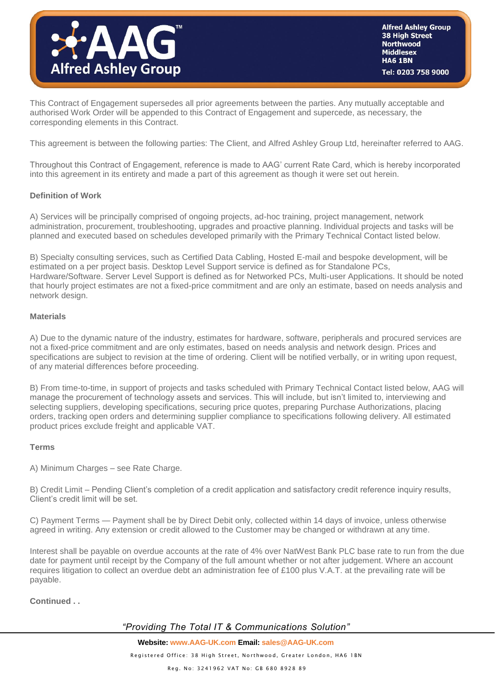

This Contract of Engagement supersedes all prior agreements between the parties. Any mutually acceptable and authorised Work Order will be appended to this Contract of Engagement and supercede, as necessary, the corresponding elements in this Contract.

This agreement is between the following parties: The Client, and Alfred Ashley Group Ltd, hereinafter referred to AAG.

Throughout this Contract of Engagement, reference is made to AAG' current Rate Card, which is hereby incorporated into this agreement in its entirety and made a part of this agreement as though it were set out herein.

#### **Definition of Work**

A) Services will be principally comprised of ongoing projects, ad-hoc training, project management, network administration, procurement, troubleshooting, upgrades and proactive planning. Individual projects and tasks will be planned and executed based on schedules developed primarily with the Primary Technical Contact listed below.

B) Specialty consulting services, such as Certified Data Cabling, Hosted E-mail and bespoke development, will be estimated on a per project basis. Desktop Level Support service is defined as for Standalone PCs, Hardware/Software. Server Level Support is defined as for Networked PCs, Multi-user Applications. It should be noted that hourly project estimates are not a fixed-price commitment and are only an estimate, based on needs analysis and network design.

#### **Materials**

A) Due to the dynamic nature of the industry, estimates for hardware, software, peripherals and procured services are not a fixed-price commitment and are only estimates, based on needs analysis and network design. Prices and specifications are subject to revision at the time of ordering. Client will be notified verbally, or in writing upon request, of any material differences before proceeding.

B) From time-to-time, in support of projects and tasks scheduled with Primary Technical Contact listed below, AAG will manage the procurement of technology assets and services. This will include, but isn't limited to, interviewing and selecting suppliers, developing specifications, securing price quotes, preparing Purchase Authorizations, placing orders, tracking open orders and determining supplier compliance to specifications following delivery. All estimated product prices exclude freight and applicable VAT.

#### **Terms**

A) Minimum Charges – see Rate Charge.

B) Credit Limit – Pending Client's completion of a credit application and satisfactory credit reference inquiry results, Client's credit limit will be set.

C) Payment Terms — Payment shall be by Direct Debit only, collected within 14 days of invoice, unless otherwise agreed in writing. Any extension or credit allowed to the Customer may be changed or withdrawn at any time.

Interest shall be payable on overdue accounts at the rate of 4% over NatWest Bank PLC base rate to run from the due date for payment until receipt by the Company of the full amount whether or not after judgement. Where an account requires litigation to collect an overdue debt an administration fee of £100 plus V.A.T. at the prevailing rate will be payable.

#### **Continued . .**

## *"Providing The Total IT & Communications Solution"*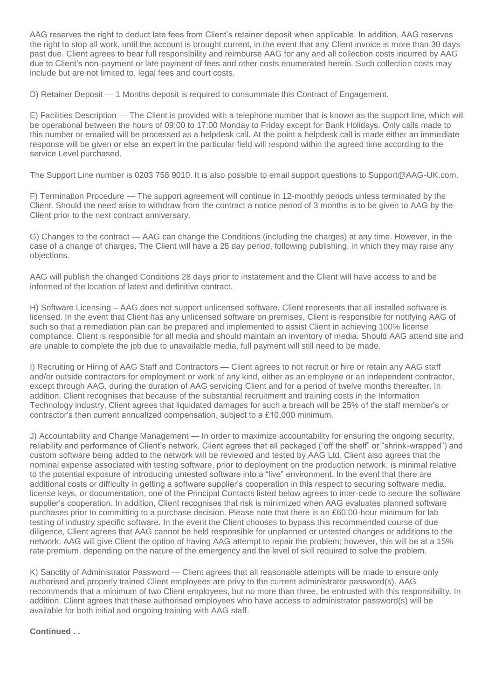AAG reserves the right to deduct late fees from Client's retainer deposit when applicable. In addition, AAG reserves the right to stop all work, until the account is brought current, in the event that any Client invoice is more than 30 days past due. Client agrees to bear full responsibility and reimburse AAG for any and all collection costs incurred by AAG due to Client's non-payment or late payment of fees and other costs enumerated herein. Such collection costs may include but are not limited to, legal fees and court costs.

D) Retainer Deposit — 1 Months deposit is required to consummate this Contract of Engagement.

E) Facilities Description — The Client is provided with a telephone number that is known as the support line, which will be operational between the hours of 09:00 to 17:00 Monday to Friday except for Bank Holidays. Only calls made to this number or emailed will be processed as a helpdesk call. At the point a helpdesk call is made either an immediate response will be given or else an expert in the particular field will respond within the agreed time according to the service Level purchased.

The Support Line number is 0203 758 9010. It is also possible to email support questions to Support@AAG-UK.com.

F) Termination Procedure — The support agreement will continue in 12-monthly periods unless terminated by the Client. Should the need arise to withdraw from the contract a notice period of 3 months is to be given to AAG by the Client prior to the next contract anniversary.

G) Changes to the contract — AAG can change the Conditions (including the charges) at any time. However, in the case of a change of charges, The Client will have a 28 day period, following publishing, in which they may raise any objections.

AAG will publish the changed Conditions 28 days prior to instatement and the Client will have access to and be informed of the location of latest and definitive contract.

H) Software Licensing – AAG does not support unlicensed software. Client represents that all installed software is licensed. In the event that Client has any unlicensed software on premises, Client is responsible for notifying AAG of such so that a remediation plan can be prepared and implemented to assist Client in achieving 100% license compliance. Client is responsible for all media and should maintain an inventory of media. Should AAG attend site and are unable to complete the job due to unavailable media, full payment will still need to be made.

I) Recruiting or Hiring of AAG Staff and Contractors — Client agrees to not recruit or hire or retain any AAG staff and/or outside contractors for employment or work of any kind, either as an employee or an independent contractor, except through AAG, during the duration of AAG servicing Client and for a period of twelve months thereafter. In addition, Client recognises that because of the substantial recruitment and training costs in the Information Technology industry, Client agrees that liquidated damages for such a breach will be 25% of the staff member's or contractor's then current annualized compensation, subject to a £10,000 minimum.

J) Accountability and Change Management — In order to maximize accountability for ensuring the ongoing security, reliability and performance of Client's network, Client agrees that all packaged ("off the shelf" or "shrink-wrapped") and custom software being added to the network will be reviewed and tested by AAG Ltd. Client also agrees that the nominal expense associated with testing software, prior to deployment on the production network, is minimal relative to the potential exposure of introducing untested software into a "live" environment. In the event that there are additional costs or difficulty in getting a software supplier's cooperation in this respect to securing software media, license keys, or documentation, one of the Principal Contacts listed below agrees to inter-cede to secure the software supplier's cooperation. In addition, Client recognises that risk is minimized when AAG evaluates planned software purchases prior to committing to a purchase decision. Please note that there is an £60.00-hour minimum for lab testing of industry specific software. In the event the Client chooses to bypass this recommended course of due diligence, Client agrees that AAG cannot be held responsible for unplanned or untested changes or additions to the network. AAG will give Client the option of having AAG attempt to repair the problem; however, this will be at a 15% rate premium, depending on the nature of the emergency and the level of skill required to solve the problem.

K) Sanctity of Administrator Password — Client agrees that all reasonable attempts will be made to ensure only authorised and properly trained Client employees are privy to the current administrator password(s). AAG recommends that a minimum of two Client employees, but no more than three, be entrusted with this responsibility. In addition, Client agrees that these authorised employees who have access to administrator password(s) will be available for both initial and ongoing training with AAG staff.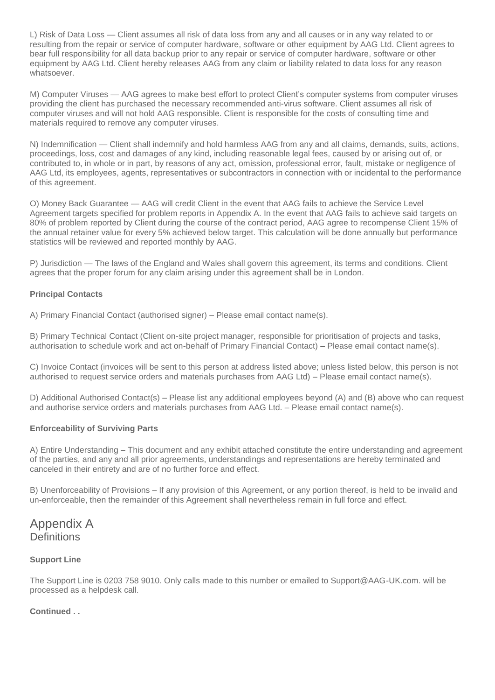L) Risk of Data Loss — Client assumes all risk of data loss from any and all causes or in any way related to or resulting from the repair or service of computer hardware, software or other equipment by AAG Ltd. Client agrees to bear full responsibility for all data backup prior to any repair or service of computer hardware, software or other equipment by AAG Ltd. Client hereby releases AAG from any claim or liability related to data loss for any reason whatsoever.

M) Computer Viruses — AAG agrees to make best effort to protect Client's computer systems from computer viruses providing the client has purchased the necessary recommended anti-virus software. Client assumes all risk of computer viruses and will not hold AAG responsible. Client is responsible for the costs of consulting time and materials required to remove any computer viruses.

N) Indemnification — Client shall indemnify and hold harmless AAG from any and all claims, demands, suits, actions, proceedings, loss, cost and damages of any kind, including reasonable legal fees, caused by or arising out of, or contributed to, in whole or in part, by reasons of any act, omission, professional error, fault, mistake or negligence of AAG Ltd, its employees, agents, representatives or subcontractors in connection with or incidental to the performance of this agreement.

O) Money Back Guarantee — AAG will credit Client in the event that AAG fails to achieve the Service Level Agreement targets specified for problem reports in Appendix A. In the event that AAG fails to achieve said targets on 80% of problem reported by Client during the course of the contract period, AAG agree to recompense Client 15% of the annual retainer value for every 5% achieved below target. This calculation will be done annually but performance statistics will be reviewed and reported monthly by AAG.

P) Jurisdiction — The laws of the England and Wales shall govern this agreement, its terms and conditions. Client agrees that the proper forum for any claim arising under this agreement shall be in London.

## **Principal Contacts**

A) Primary Financial Contact (authorised signer) – Please email contact name(s).

B) Primary Technical Contact (Client on-site project manager, responsible for prioritisation of projects and tasks, authorisation to schedule work and act on-behalf of Primary Financial Contact) – Please email contact name(s).

C) Invoice Contact (invoices will be sent to this person at address listed above; unless listed below, this person is not authorised to request service orders and materials purchases from AAG Ltd) – Please email contact name(s).

D) Additional Authorised Contact(s) – Please list any additional employees beyond (A) and (B) above who can request and authorise service orders and materials purchases from AAG Ltd. – Please email contact name(s).

#### **Enforceability of Surviving Parts**

A) Entire Understanding – This document and any exhibit attached constitute the entire understanding and agreement of the parties, and any and all prior agreements, understandings and representations are hereby terminated and canceled in their entirety and are of no further force and effect.

B) Unenforceability of Provisions – If any provision of this Agreement, or any portion thereof, is held to be invalid and un-enforceable, then the remainder of this Agreement shall nevertheless remain in full force and effect.

# Appendix A **Definitions**

#### **Support Line**

The Support Line is 0203 758 9010. Only calls made to this number or emailed to Support@AAG-UK.com. will be processed as a helpdesk call.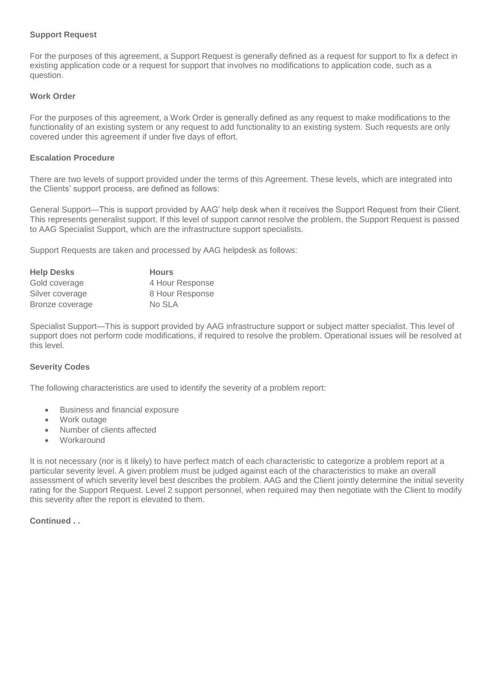#### **Support Request**

For the purposes of this agreement, a Support Request is generally defined as a request for support to fix a defect in existing application code or a request for support that involves no modifications to application code, such as a question.

#### **Work Order**

For the purposes of this agreement, a Work Order is generally defined as any request to make modifications to the functionality of an existing system or any request to add functionality to an existing system. Such requests are only covered under this agreement if under five days of effort.

#### **Escalation Procedure**

There are two levels of support provided under the terms of this Agreement. These levels, which are integrated into the Clients' support process, are defined as follows:

General Support—This is support provided by AAG' help desk when it receives the Support Request from their Client. This represents generalist support. If this level of support cannot resolve the problem, the Support Request is passed to AAG Specialist Support, which are the infrastructure support specialists.

Support Requests are taken and processed by AAG helpdesk as follows:

| <b>Help Desks</b> | <b>Hours</b>    |
|-------------------|-----------------|
| Gold coverage     | 4 Hour Response |
| Silver coverage   | 8 Hour Response |
| Bronze coverage   | No SLA          |

Specialist Support—This is support provided by AAG infrastructure support or subject matter specialist. This level of support does not perform code modifications, if required to resolve the problem. Operational issues will be resolved at this level.

#### **Severity Codes**

The following characteristics are used to identify the severity of a problem report:

- Business and financial exposure
- Work outage
- Number of clients affected
- **Workaround**

It is not necessary (nor is it likely) to have perfect match of each characteristic to categorize a problem report at a particular severity level. A given problem must be judged against each of the characteristics to make an overall assessment of which severity level best describes the problem. AAG and the Client jointly determine the initial severity rating for the Support Request. Level 2 support personnel, when required may then negotiate with the Client to modify this severity after the report is elevated to them.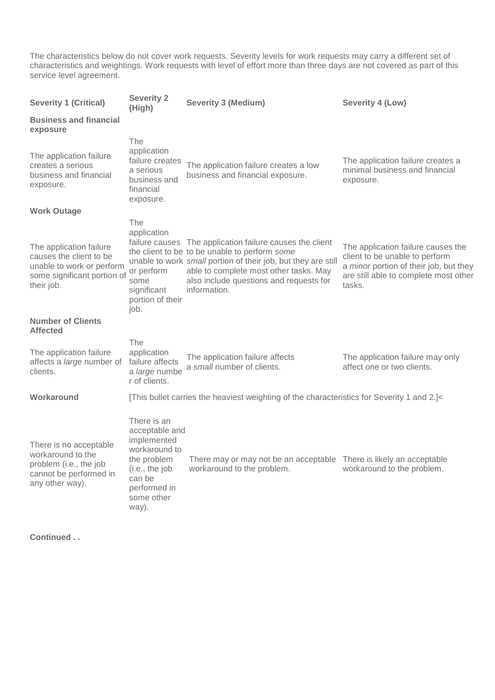The characteristics below do not cover work requests. Severity levels for work requests may carry a different set of characteristics and weightings. Work requests with level of effort more than three days are not covered as part of this service level agreement.

| <b>Severity 1 (Critical)</b>                                                                                                 | <b>Severity 2</b><br>(High)                                                                                                                     | <b>Severity 3 (Medium)</b>                                                                                                                                                                                                                                                      | Severity 4 (Low)                                                                                                                                                  |
|------------------------------------------------------------------------------------------------------------------------------|-------------------------------------------------------------------------------------------------------------------------------------------------|---------------------------------------------------------------------------------------------------------------------------------------------------------------------------------------------------------------------------------------------------------------------------------|-------------------------------------------------------------------------------------------------------------------------------------------------------------------|
| <b>Business and financial</b><br>exposure                                                                                    |                                                                                                                                                 |                                                                                                                                                                                                                                                                                 |                                                                                                                                                                   |
| The application failure<br>creates a serious<br>business and financial<br>exposure.                                          | The<br>application<br>failure creates<br>a serious<br>business and<br>financial<br>exposure.                                                    | The application failure creates a low<br>business and financial exposure.                                                                                                                                                                                                       | The application failure creates a<br>minimal business and financial<br>exposure.                                                                                  |
| <b>Work Outage</b>                                                                                                           |                                                                                                                                                 |                                                                                                                                                                                                                                                                                 |                                                                                                                                                                   |
| The application failure<br>causes the client to be<br>unable to work or perform<br>some significant portion of<br>their job. | The<br>application<br>or perform<br>some<br>significant<br>portion of their<br>job.                                                             | failure causes The application failure causes the client<br>the client to be to be unable to perform some<br>unable to work small portion of their job, but they are still<br>able to complete most other tasks. May<br>also include questions and requests for<br>information. | The application failure causes the<br>client to be unable to perform<br>a minor portion of their job, but they<br>are still able to complete most other<br>tasks. |
| <b>Number of Clients</b><br><b>Affected</b>                                                                                  |                                                                                                                                                 |                                                                                                                                                                                                                                                                                 |                                                                                                                                                                   |
| The application failure<br>affects a large number of<br>clients.                                                             | The<br>application<br>failure affects<br>a large numbe<br>r of clients.                                                                         | The application failure affects<br>a small number of clients.                                                                                                                                                                                                                   | The application failure may only<br>affect one or two clients.                                                                                                    |
| Workaround                                                                                                                   |                                                                                                                                                 | [This bullet carries the heaviest weighting of the characteristics for Severity 1 and 2.]<                                                                                                                                                                                      |                                                                                                                                                                   |
| There is no acceptable<br>workaround to the<br>problem (i.e., the job<br>cannot be performed in<br>any other way).           | There is an<br>acceptable and<br>implemented<br>workaround to<br>the problem<br>(i.e., the job<br>can be<br>performed in<br>some other<br>way). | There may or may not be an acceptable There is likely an acceptable<br>workaround to the problem.                                                                                                                                                                               | workaround to the problem.                                                                                                                                        |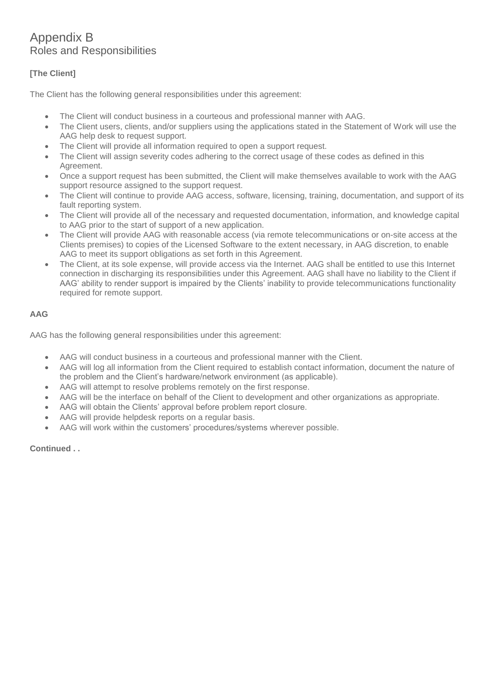# Appendix B Roles and Responsibilities

# **[The Client]**

The Client has the following general responsibilities under this agreement:

- The Client will conduct business in a courteous and professional manner with AAG.
- The Client users, clients, and/or suppliers using the applications stated in the Statement of Work will use the AAG help desk to request support.
- The Client will provide all information required to open a support request.
- The Client will assign severity codes adhering to the correct usage of these codes as defined in this Agreement.
- Once a support request has been submitted, the Client will make themselves available to work with the AAG support resource assigned to the support request.
- The Client will continue to provide AAG access, software, licensing, training, documentation, and support of its fault reporting system.
- The Client will provide all of the necessary and requested documentation, information, and knowledge capital to AAG prior to the start of support of a new application.
- The Client will provide AAG with reasonable access (via remote telecommunications or on-site access at the Clients premises) to copies of the Licensed Software to the extent necessary, in AAG discretion, to enable AAG to meet its support obligations as set forth in this Agreement.
- The Client, at its sole expense, will provide access via the Internet. AAG shall be entitled to use this Internet connection in discharging its responsibilities under this Agreement. AAG shall have no liability to the Client if AAG' ability to render support is impaired by the Clients' inability to provide telecommunications functionality required for remote support.

## **AAG**

AAG has the following general responsibilities under this agreement:

- AAG will conduct business in a courteous and professional manner with the Client.
- AAG will log all information from the Client required to establish contact information, document the nature of the problem and the Client's hardware/network environment (as applicable).
- AAG will attempt to resolve problems remotely on the first response.
- AAG will be the interface on behalf of the Client to development and other organizations as appropriate.
- AAG will obtain the Clients' approval before problem report closure.
- AAG will provide helpdesk reports on a regular basis.
- AAG will work within the customers' procedures/systems wherever possible.